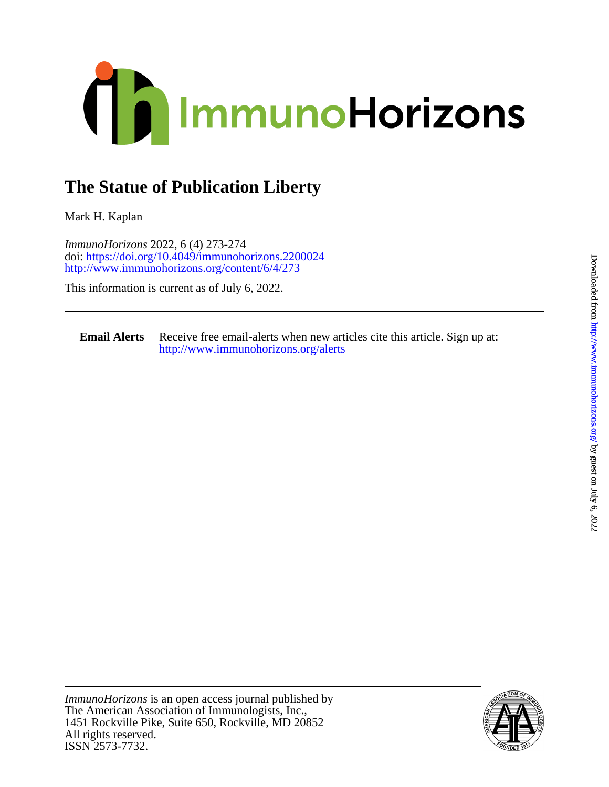

## **The Statue of Publication Liberty**

Mark H. Kaplan

<http://www.immunohorizons.org/content/6/4/273> doi:<https://doi.org/10.4049/immunohorizons.2200024> *ImmunoHorizons* 2022, 6 (4) 273-274

This information is current as of July 6, 2022.

**Email Alerts** <http://www.immunohorizons.org/alerts> Receive free email-alerts when new articles cite this article. Sign up at:

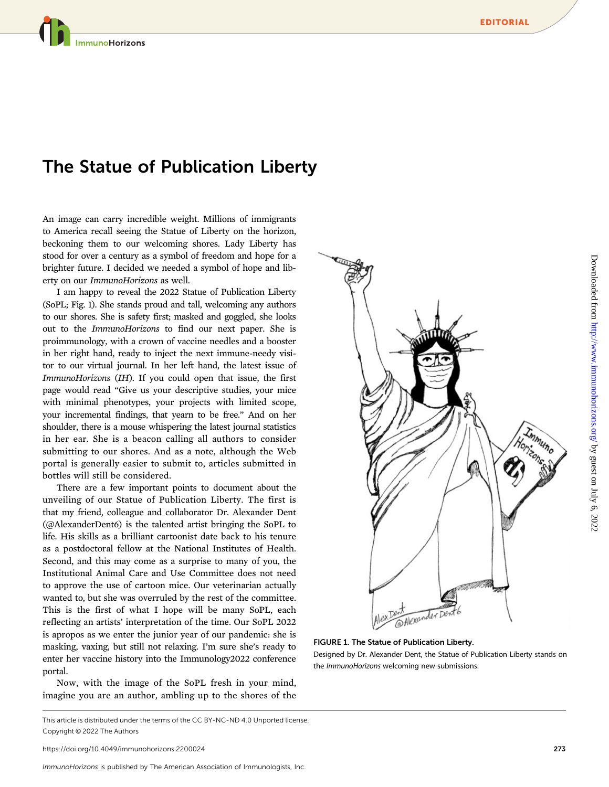mmunoHorizons

## The Statue of Publication Liberty

An image can carry incredible weight. Millions of immigrants to America recall seeing the Statue of Liberty on the horizon, beckoning them to our welcoming shores. Lady Liberty has stood for over a century as a symbol of freedom and hope for a brighter future. I decided we needed a symbol of hope and liberty on our ImmunoHorizons as well.

I am happy to reveal the 2022 Statue of Publication Liberty (SoPL; Fig. 1). She stands proud and tall, welcoming any authors to our shores. She is safety first; masked and goggled, she looks out to the ImmunoHorizons to find our next paper. She is proimmunology, with a crown of vaccine needles and a booster in her right hand, ready to inject the next immune-needy visitor to our virtual journal. In her left hand, the latest issue of ImmunoHorizons (IH). If you could open that issue, the first page would read "Give us your descriptive studies, your mice with minimal phenotypes, your projects with limited scope, your incremental findings, that yearn to be free." And on her shoulder, there is a mouse whispering the latest journal statistics in her ear. She is a beacon calling all authors to consider submitting to our shores. And as a note, although the Web portal is generally easier to submit to, articles submitted in bottles will still be considered.

There are a few important points to document about the unveiling of our Statue of Publication Liberty. The first is that my friend, colleague and collaborator Dr. Alexander Dent (@AlexanderDent6) is the talented artist bringing the SoPL to life. His skills as a brilliant cartoonist date back to his tenure as a postdoctoral fellow at the National Institutes of Health. Second, and this may come as a surprise to many of you, the Institutional Animal Care and Use Committee does not need to approve the use of cartoon mice. Our veterinarian actually wanted to, but she was overruled by the rest of the committee. This is the first of what I hope will be many SoPL, each reflecting an artists' interpretation of the time. Our SoPL 2022 is apropos as we enter the junior year of our pandemic: she is masking, vaxing, but still not relaxing. I'm sure she's ready to enter her vaccine history into the Immunology2022 conference portal.

Now, with the image of the SoPL fresh in your mind, imagine you are an author, ambling up to the shores of the



FIGURE 1. The Statue of Publication Liberty.

Designed by Dr. Alexander Dent, the Statue of Publication Liberty stands on the ImmunoHorizons welcoming new submissions.

This article is distributed under the terms of the [CC BY-NC-ND 4.0 Unported license](https://creativecommons.org/licenses/by-nc-nd/4.0/). Copyright © 2022 The Authors